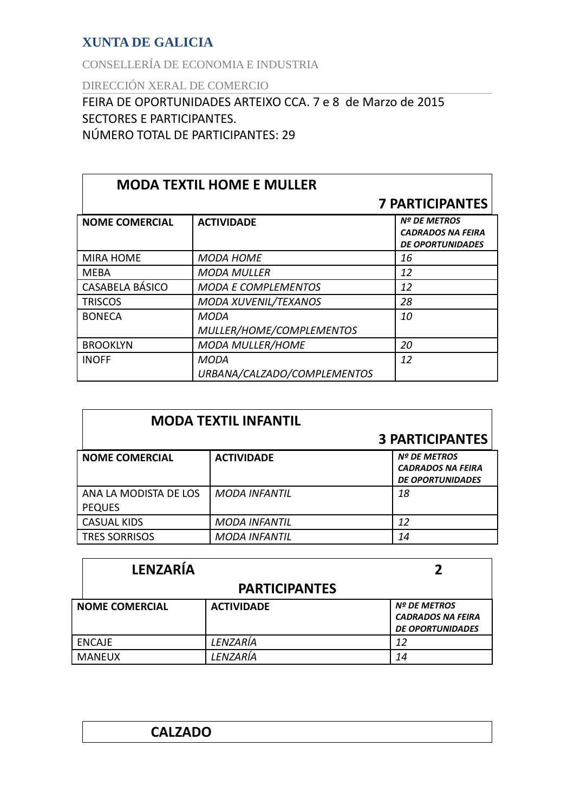CONSELLERÍA DE ECONOMIA E INDUSTRIA

DIRECCIÓN XERAL DE COMERCIO

FEIRA DE OPORTUNIDADES ARTEIXO CCA. 7 e 8 de Marzo de 2015 SECTORES E PARTICIPANTES. NÚMERO TOTAL DE PARTICIPANTES: 29

| <b>MODA TEXTIL HOME E MULLER</b> |                                            |                                                                            |  |  |
|----------------------------------|--------------------------------------------|----------------------------------------------------------------------------|--|--|
| <b>7 PARTICIPANTES</b>           |                                            |                                                                            |  |  |
| <b>NOME COMERCIAL</b>            | <b>ACTIVIDADE</b>                          | <b>Nº DE METROS</b><br><b>CADRADOS NA FEIRA</b><br><b>DE OPORTUNIDADES</b> |  |  |
| <b>MIRA HOME</b>                 | <b>MODA HOME</b>                           | 16                                                                         |  |  |
| <b>MEBA</b>                      | <b>MODA MULLER</b>                         | 12                                                                         |  |  |
| CASABELA BÁSICO                  | <b>MODA E COMPLEMENTOS</b>                 | 12                                                                         |  |  |
| <b>TRISCOS</b>                   | <b>MODA XUVENIL/TEXANOS</b>                | 28                                                                         |  |  |
| <b>BONECA</b>                    | MODA<br>MULLER/HOME/COMPLEMENTOS           | 10                                                                         |  |  |
| <b>BROOKLYN</b>                  | <b>MODA MULLER/HOME</b>                    | 20                                                                         |  |  |
| <b>INOFF</b>                     | <b>MODA</b><br>URBANA/CALZADO/COMPLEMENTOS | 12                                                                         |  |  |

| <b>MODA TEXTIL INFANTIL</b>            |                      |                                                                            |
|----------------------------------------|----------------------|----------------------------------------------------------------------------|
| <b>3 PARTICIPANTES</b>                 |                      |                                                                            |
| <b>NOME COMERCIAL</b>                  | <b>ACTIVIDADE</b>    | <b>Nº DE METROS</b><br><b>CADRADOS NA FEIRA</b><br><b>DE OPORTUNIDADES</b> |
| ANA LA MODISTA DE LOS<br><b>PEQUES</b> | <b>MODA INFANTIL</b> | 18                                                                         |
| <b>CASUAL KIDS</b>                     | <b>MODA INFANTIL</b> | 12                                                                         |
| <b>TRES SORRISOS</b>                   | MODA INFANTIL        | 14                                                                         |

| <b>LENZARÍA</b>       |                      |                                                     |
|-----------------------|----------------------|-----------------------------------------------------|
|                       | <b>PARTICIPANTES</b> |                                                     |
| <b>NOME COMERCIAL</b> | <b>ACTIVIDADE</b>    | <b>Nº DE METROS</b>                                 |
|                       |                      | <b>CADRADOS NA FEIRA</b><br><b>DE OPORTUNIDADES</b> |
| <b>ENCAJE</b>         | LENZARÍA             | 12                                                  |
| <b>MANEUX</b>         | LENZARÍA             | 14                                                  |

| <b>CALZADO</b> |  |  |
|----------------|--|--|
|                |  |  |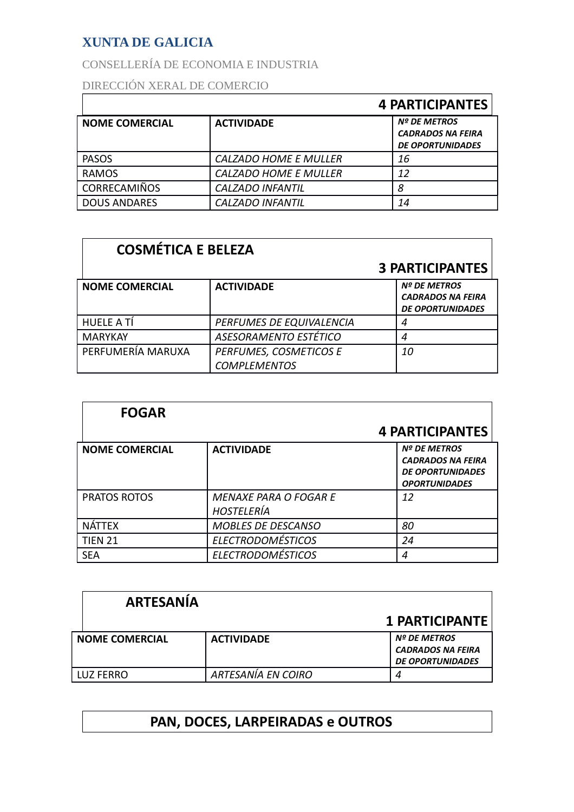## CONSELLERÍA DE ECONOMIA E INDUSTRIA

DIRECCIÓN XERAL DE COMERCIO

|                       |                              | <b>4 PARTICIPANTES</b>   |
|-----------------------|------------------------------|--------------------------|
| <b>NOME COMERCIAL</b> | <b>ACTIVIDADE</b>            | <b>Nº DE METROS</b>      |
|                       |                              | <b>CADRADOS NA FEIRA</b> |
|                       |                              | <b>DE OPORTUNIDADES</b>  |
| <b>PASOS</b>          | <b>CALZADO HOME E MULLER</b> | 16                       |
| <b>RAMOS</b>          | <b>CALZADO HOME E MULLER</b> | 12                       |
| <b>CORRECAMIÑOS</b>   | <b>CALZADO INFANTIL</b>      | 8                        |
| <b>DOUS ANDARES</b>   | <b>CALZADO INFANTIL</b>      | 14                       |

| <b>COSMÉTICA E BELEZA</b> |                          |                                                 |  |
|---------------------------|--------------------------|-------------------------------------------------|--|
| <b>3 PARTICIPANTES</b>    |                          |                                                 |  |
| <b>NOME COMERCIAL</b>     | <b>ACTIVIDADE</b>        | <b>Nº DE METROS</b><br><b>CADRADOS NA FEIRA</b> |  |
|                           |                          | <b>DE OPORTUNIDADES</b>                         |  |
| <b>HUELE A TÍ</b>         | PERFUMES DE EQUIVALENCIA | 4                                               |  |
| <b>MARYKAY</b>            | ASESORAMENTO ESTÉTICO    | 4                                               |  |
| PERFUMERÍA MARUXA         | PERFUMES, COSMETICOS E   | 10                                              |  |
|                           | <b>COMPLEMENTOS</b>      |                                                 |  |

| <b>FOGAR</b>          |                                            |                                                                                                    |
|-----------------------|--------------------------------------------|----------------------------------------------------------------------------------------------------|
|                       |                                            | <b>4 PARTICIPANTES</b>                                                                             |
| <b>NOME COMERCIAL</b> | <b>ACTIVIDADE</b>                          | <b>Nº DE METROS</b><br><b>CADRADOS NA FEIRA</b><br><b>DE OPORTUNIDADES</b><br><b>OPORTUNIDADES</b> |
| <b>PRATOS ROTOS</b>   | <b>MENAXE PARA O FOGAR E</b><br>HOSTELERÍA | 12                                                                                                 |
| <b>NÁTTEX</b>         | <b>MOBLES DE DESCANSO</b>                  | 80                                                                                                 |
| <b>TIEN 21</b>        | <b>ELECTRODOMÉSTICOS</b>                   | 24                                                                                                 |
| <b>SEA</b>            | <b>ELECTRODOMÉSTICOS</b>                   | 4                                                                                                  |

| <b>ARTESANÍA</b>      |                    |                                                 |
|-----------------------|--------------------|-------------------------------------------------|
|                       |                    | 1 PARTICIPANTE                                  |
| <b>NOME COMERCIAL</b> | <b>ACTIVIDADE</b>  | <b>Nº DE METROS</b><br><b>CADRADOS NA FEIRA</b> |
|                       |                    | <b>DE OPORTUNIDADES</b>                         |
| LUZ FERRO             | ARTESANÍA EN COIRO |                                                 |

# **PAN, DOCES, LARPEIRADAS e OUTROS**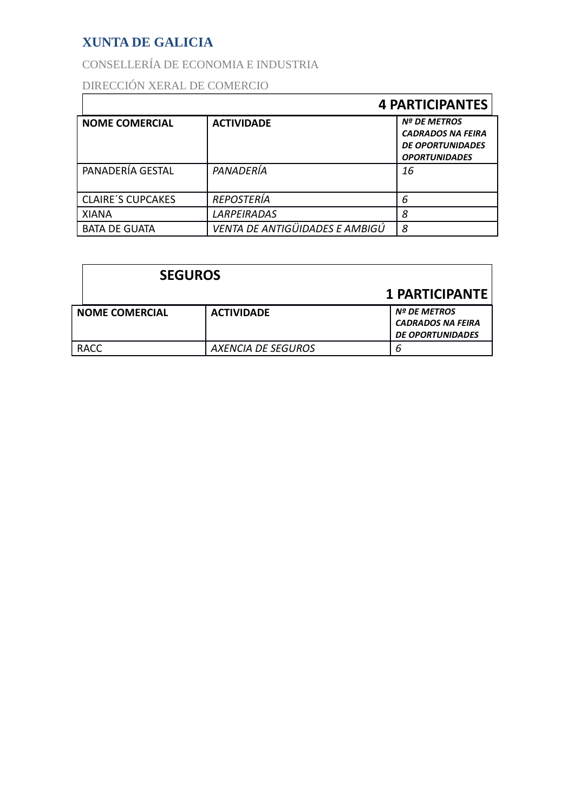#### CONSELLERÍA DE ECONOMIA E INDUSTRIA

# DIRECCIÓN XERAL DE COMERCIO

|                          |                                | <b>4 PARTICIPANTES</b>                                                                             |
|--------------------------|--------------------------------|----------------------------------------------------------------------------------------------------|
| <b>NOME COMERCIAL</b>    | <b>ACTIVIDADE</b>              | <b>Nº DE METROS</b><br><b>CADRADOS NA FEIRA</b><br><b>DE OPORTUNIDADES</b><br><b>OPORTUNIDADES</b> |
| PANADERÍA GESTAL         | PANADERÍA                      | 16                                                                                                 |
| <b>CLAIRE'S CUPCAKES</b> | <b>REPOSTERÍA</b>              | 6                                                                                                  |
| <b>XIANA</b>             | <b>LARPEIRADAS</b>             | 8                                                                                                  |
| <b>BATA DE GUATA</b>     | VENTA DE ANTIGÜIDADES E AMBIGÚ | 8                                                                                                  |

| <b>SEGUROS</b>        |                           |                                                                            |
|-----------------------|---------------------------|----------------------------------------------------------------------------|
|                       |                           | <b>1 PARTICIPANTE</b>                                                      |
| <b>NOME COMERCIAL</b> | <b>ACTIVIDADE</b>         | <b>Nº DE METROS</b><br><b>CADRADOS NA FEIRA</b><br><b>DE OPORTUNIDADES</b> |
| <b>RACC</b>           | <b>AXENCIA DE SEGUROS</b> | h                                                                          |